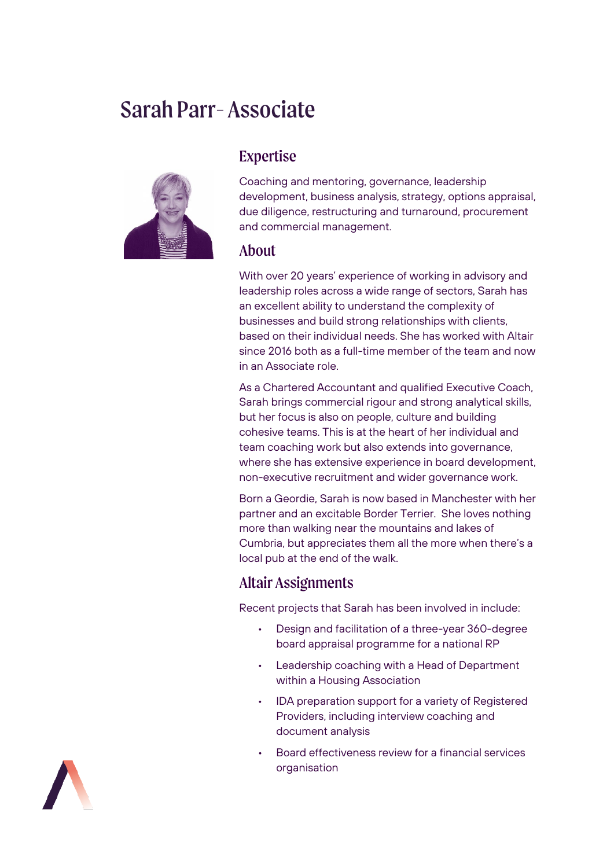# Sarah Parr-Associate



## Expertise

Coaching and mentoring, governance, leadership development, business analysis, strategy, options appraisal, due diligence, restructuring and turnaround, procurement and commercial management.

#### About

With over 20 years' experience of working in advisory and leadership roles across a wide range of sectors, Sarah has an excellent ability to understand the complexity of businesses and build strong relationships with clients, based on their individual needs. She has worked with Altair since 2016 both as a full-time member of the team and now in an Associate role.

As a Chartered Accountant and qualified Executive Coach, Sarah brings commercial rigour and strong analytical skills, but her focus is also on people, culture and building cohesive teams. This is at the heart of her individual and team coaching work but also extends into governance, where she has extensive experience in board development, non-executive recruitment and wider governance work.

Born a Geordie, Sarah is now based in Manchester with her partner and an excitable Border Terrier. She loves nothing more than walking near the mountains and lakes of Cumbria, but appreciates them all the more when there's a local pub at the end of the walk.

#### Altair Assignments

Recent projects that Sarah has been involved in include:

- Design and facilitation of a three-year 360-degree board appraisal programme for a national RP
- Leadership coaching with a Head of Department within a Housing Association
- IDA preparation support for a variety of Registered Providers, including interview coaching and document analysis
- Board effectiveness review for a financial services organisation